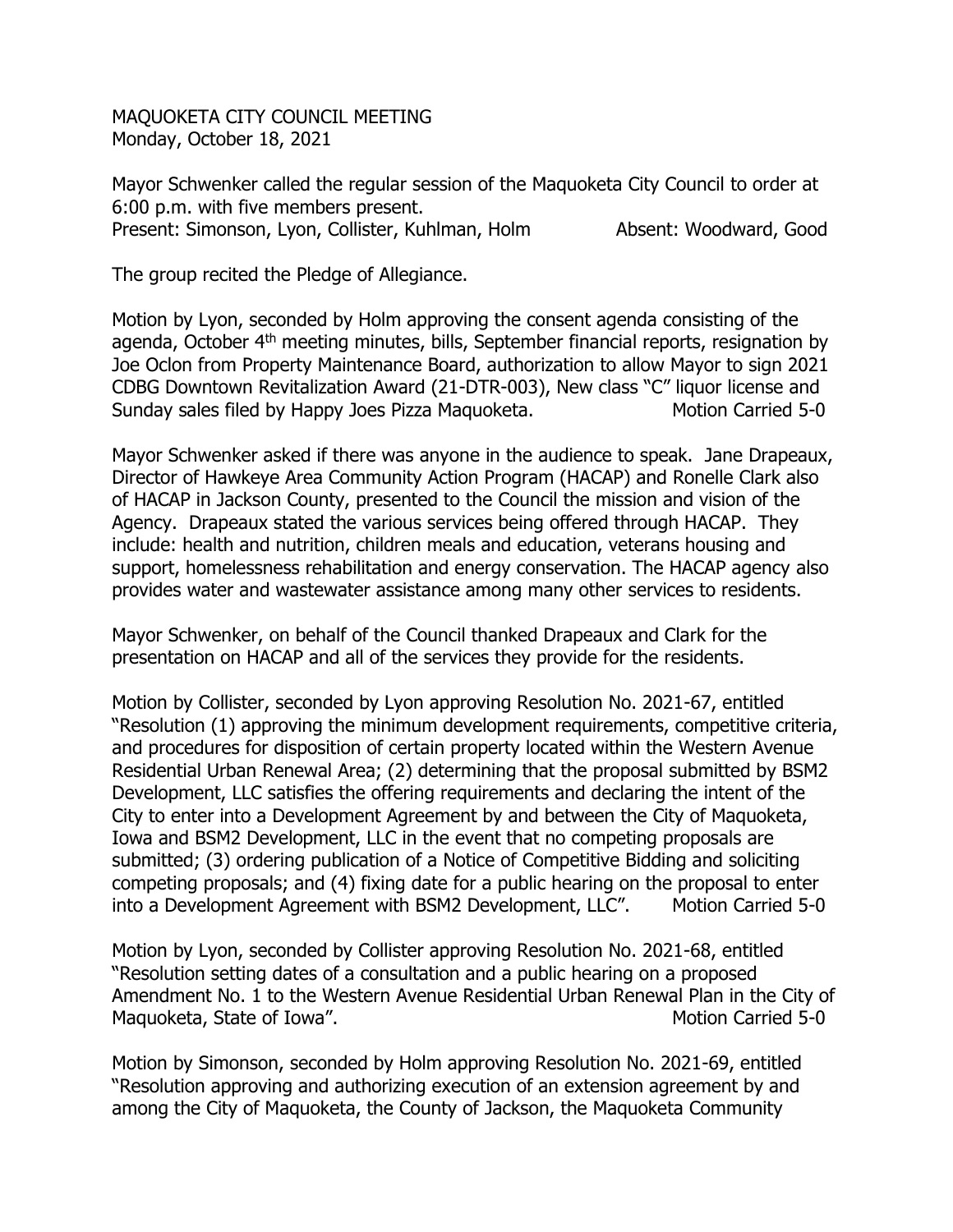MAQUOKETA CITY COUNCIL MEETING Monday, October 18, 2021

Mayor Schwenker called the regular session of the Maquoketa City Council to order at 6:00 p.m. with five members present. Present: Simonson, Lyon, Collister, Kuhlman, Holm Absent: Woodward, Good

The group recited the Pledge of Allegiance.

Motion by Lyon, seconded by Holm approving the consent agenda consisting of the agenda, October 4<sup>th</sup> meeting minutes, bills, September financial reports, resignation by Joe Oclon from Property Maintenance Board, authorization to allow Mayor to sign 2021 CDBG Downtown Revitalization Award (21-DTR-003), New class "C" liquor license and Sunday sales filed by Happy Joes Pizza Maguoketa. Motion Carried 5-0

Mayor Schwenker asked if there was anyone in the audience to speak. Jane Drapeaux, Director of Hawkeye Area Community Action Program (HACAP) and Ronelle Clark also of HACAP in Jackson County, presented to the Council the mission and vision of the Agency. Drapeaux stated the various services being offered through HACAP. They include: health and nutrition, children meals and education, veterans housing and support, homelessness rehabilitation and energy conservation. The HACAP agency also provides water and wastewater assistance among many other services to residents.

Mayor Schwenker, on behalf of the Council thanked Drapeaux and Clark for the presentation on HACAP and all of the services they provide for the residents.

Motion by Collister, seconded by Lyon approving Resolution No. 2021-67, entitled "Resolution (1) approving the minimum development requirements, competitive criteria, and procedures for disposition of certain property located within the Western Avenue Residential Urban Renewal Area; (2) determining that the proposal submitted by BSM2 Development, LLC satisfies the offering requirements and declaring the intent of the City to enter into a Development Agreement by and between the City of Maquoketa, Iowa and BSM2 Development, LLC in the event that no competing proposals are submitted; (3) ordering publication of a Notice of Competitive Bidding and soliciting competing proposals; and (4) fixing date for a public hearing on the proposal to enter into a Development Agreement with BSM2 Development, LLC". Motion Carried 5-0

Motion by Lyon, seconded by Collister approving Resolution No. 2021-68, entitled "Resolution setting dates of a consultation and a public hearing on a proposed Amendment No. 1 to the Western Avenue Residential Urban Renewal Plan in the City of Maquoketa, State of Iowa". The matrix of the Motion Carried 5-0

Motion by Simonson, seconded by Holm approving Resolution No. 2021-69, entitled "Resolution approving and authorizing execution of an extension agreement by and among the City of Maquoketa, the County of Jackson, the Maquoketa Community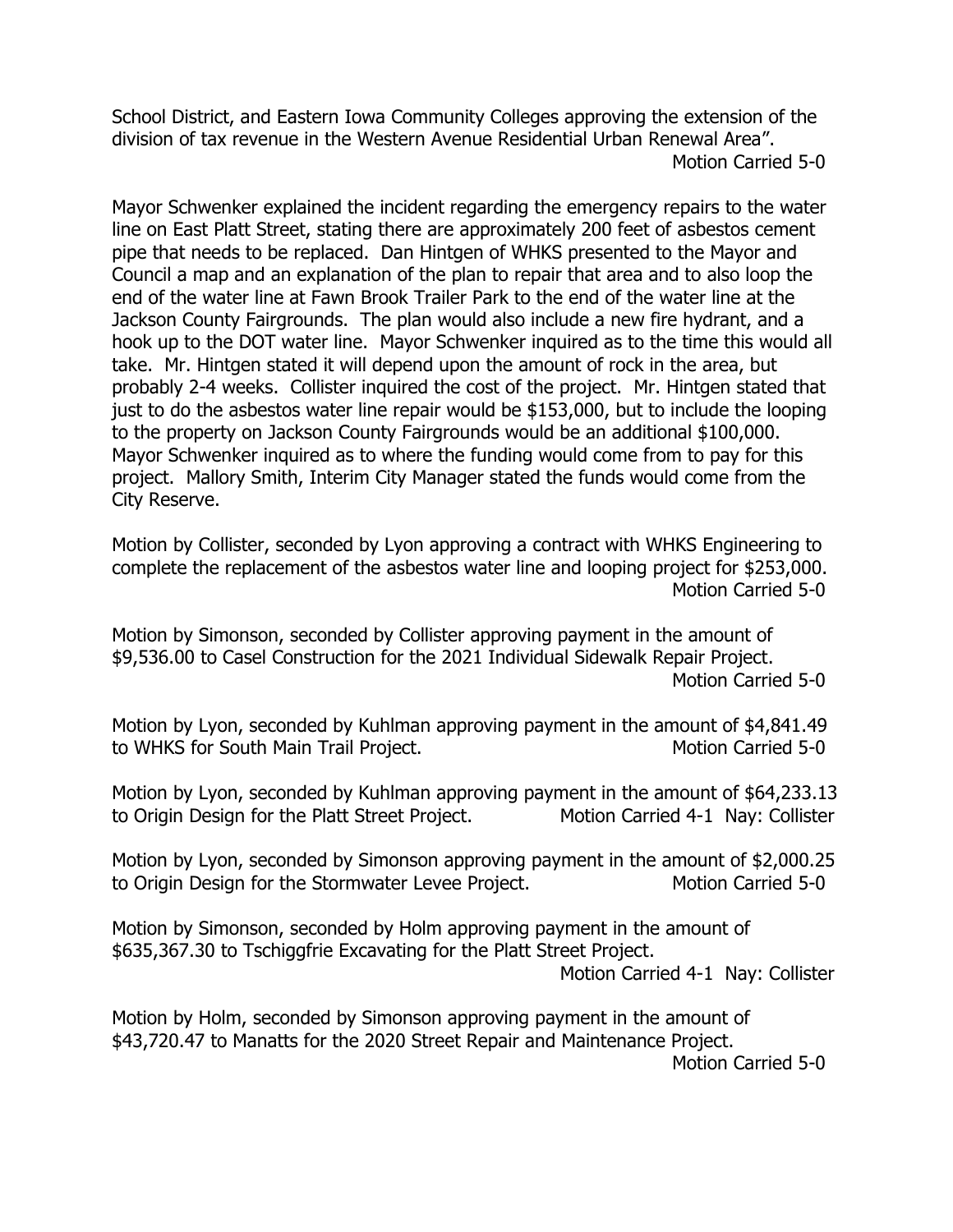School District, and Eastern Iowa Community Colleges approving the extension of the division of tax revenue in the Western Avenue Residential Urban Renewal Area". Motion Carried 5-0

Mayor Schwenker explained the incident regarding the emergency repairs to the water line on East Platt Street, stating there are approximately 200 feet of asbestos cement pipe that needs to be replaced. Dan Hintgen of WHKS presented to the Mayor and Council a map and an explanation of the plan to repair that area and to also loop the end of the water line at Fawn Brook Trailer Park to the end of the water line at the Jackson County Fairgrounds. The plan would also include a new fire hydrant, and a hook up to the DOT water line. Mayor Schwenker inquired as to the time this would all take. Mr. Hintgen stated it will depend upon the amount of rock in the area, but probably 2-4 weeks. Collister inquired the cost of the project. Mr. Hintgen stated that just to do the asbestos water line repair would be \$153,000, but to include the looping to the property on Jackson County Fairgrounds would be an additional \$100,000. Mayor Schwenker inquired as to where the funding would come from to pay for this project. Mallory Smith, Interim City Manager stated the funds would come from the City Reserve.

Motion by Collister, seconded by Lyon approving a contract with WHKS Engineering to complete the replacement of the asbestos water line and looping project for \$253,000. Motion Carried 5-0

Motion by Simonson, seconded by Collister approving payment in the amount of \$9,536.00 to Casel Construction for the 2021 Individual Sidewalk Repair Project. Motion Carried 5-0

Motion by Lyon, seconded by Kuhlman approving payment in the amount of \$4,841.49 to WHKS for South Main Trail Project.

Motion by Lyon, seconded by Kuhlman approving payment in the amount of \$64,233.13 to Origin Design for the Platt Street Project. Motion Carried 4-1 Nay: Collister

Motion by Lyon, seconded by Simonson approving payment in the amount of \$2,000.25 to Origin Design for the Stormwater Levee Project. Motion Carried 5-0

Motion by Simonson, seconded by Holm approving payment in the amount of \$635,367.30 to Tschiggfrie Excavating for the Platt Street Project.

Motion Carried 4-1 Nay: Collister

Motion by Holm, seconded by Simonson approving payment in the amount of \$43,720.47 to Manatts for the 2020 Street Repair and Maintenance Project.

Motion Carried 5-0